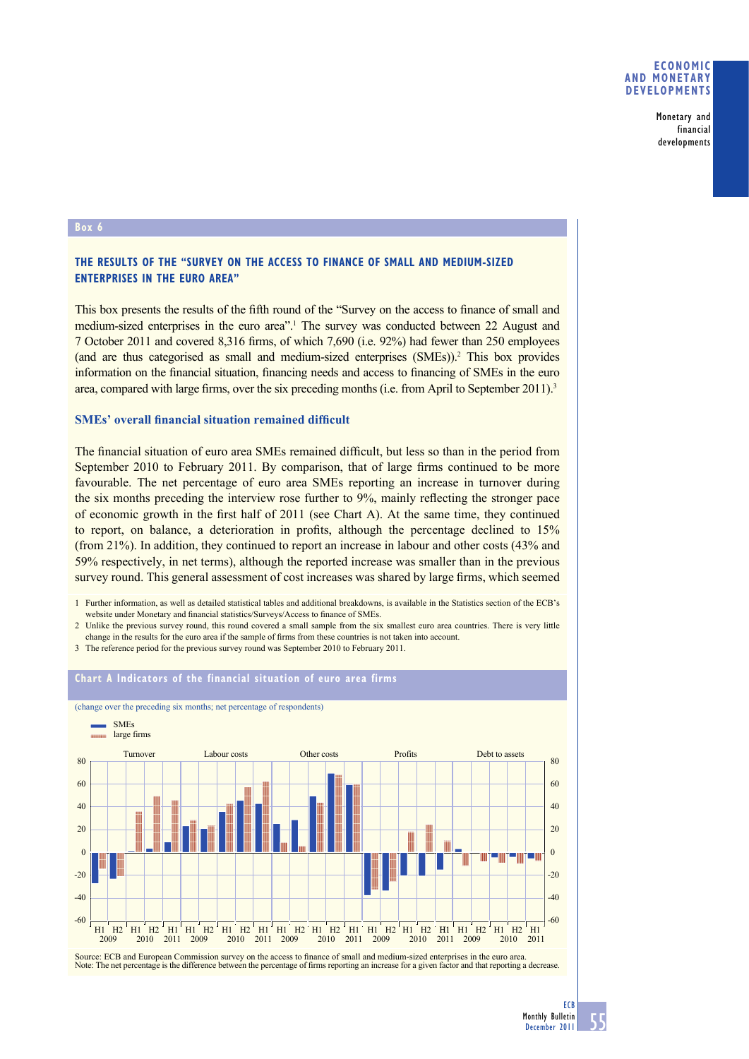Monetary and financial developments

#### **Box**

# **THE RESULTS OF THE "SURVEY ON THE ACCESS TO FINANCE OF SMALL AND MEDIUM-SIZED ENTERPRISES IN THE EURO AREA"**

This box presents the results of the fifth round of the "Survey on the access to finance of small and medium-sized enterprises in the euro area<sup>".1</sup> The survey was conducted between 22 August and 7 October 2011 and covered 8,316 firms, of which 7,690 (i.e. 92%) had fewer than 250 employees (and are thus categorised as small and medium-sized enterprises (SMEs)).2 This box provides information on the financial situation, financing needs and access to financing of SMEs in the euro area, compared with large firms, over the six preceding months (i.e. from April to September 2011).<sup>3</sup>

## **SMEs' overall financial situation remained difficult**

The financial situation of euro area SMEs remained difficult, but less so than in the period from September 2010 to February 2011. By comparison, that of large firms continued to be more favourable. The net percentage of euro area SMEs reporting an increase in turnover during the six months preceding the interview rose further to 9%, mainly reflecting the stronger pace of economic growth in the first half of  $2011$  (see Chart A). At the same time, they continued to report, on balance, a deterioration in profits, although the percentage declined to  $15\%$ (from 21%). In addition, they continued to report an increase in labour and other costs (43% and 59% respectively, in net terms), although the reported increase was smaller than in the previous survey round. This general assessment of cost increases was shared by large firms, which seemed

1 Further information, as well as detailed statistical tables and additional breakdowns, is available in the Statistics section of the ECB's website under Monetary and financial statistics/Surveys/Access to finance of SMEs

2 Unlike the previous survey round, this round covered a small sample from the six smallest euro area countries. There is very little change in the results for the euro area if the sample of firms from these countries is not taken into account.

3 The reference period for the previous survey round was September 2010 to February 2011.



Source: ECB and European Commission survey on the access to finance of small and medium-sized enterprises in the euro area. Note: The net percentage is the difference between the percentage of firms reporting an increase for a given factor and that reporting a decrease.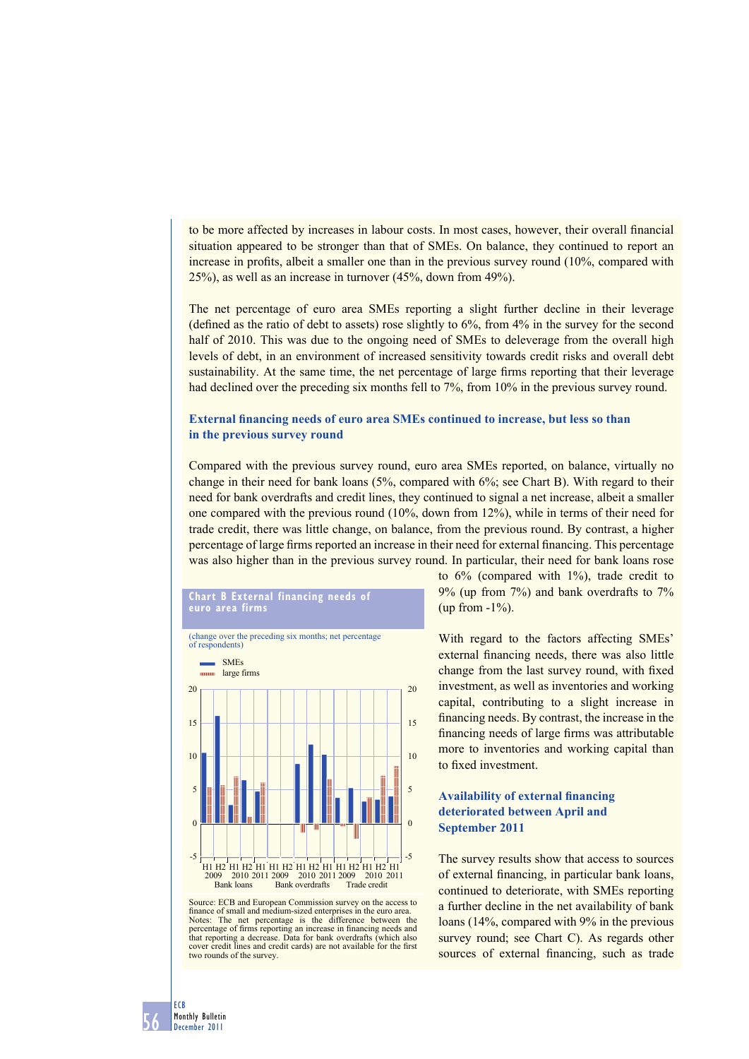to be more affected by increases in labour costs. In most cases, however, their overall financial situation appeared to be stronger than that of SMEs. On balance, they continued to report an increase in profits, albeit a smaller one than in the previous survey round  $(10\%$ , compared with 25%), as well as an increase in turnover (45%, down from 49%).

The net percentage of euro area SMEs reporting a slight further decline in their leverage (defined as the ratio of debt to assets) rose slightly to  $6\%$ , from  $4\%$  in the survey for the second half of 2010. This was due to the ongoing need of SMEs to deleverage from the overall high levels of debt, in an environment of increased sensitivity towards credit risks and overall debt sustainability. At the same time, the net percentage of large firms reporting that their leverage had declined over the preceding six months fell to 7%, from 10% in the previous survey round.

### **External financing needs of euro area SMEs continued to increase, but less so than in the previous survey round**

Compared with the previous survey round, euro area SMEs reported, on balance, virtually no change in their need for bank loans (5%, compared with 6%; see Chart B). With regard to their need for bank overdrafts and credit lines, they continued to signal a net increase, albeit a smaller one compared with the previous round (10%, down from 12%), while in terms of their need for trade credit, there was little change, on balance, from the previous round. By contrast, a higher percentage of large firms reported an increase in their need for external financing. This percentage was also higher than in the previous survey round. In particular, their need for bank loans rose



**Chart B External financing needs of** 

Source: ECB and European Commission survey on the access to finance of small and medium-sized enterprises in the euro area. Notes: The net percentage is the difference between the percentage of firms reporting an increase in financing needs and that reporting a decrease. Data for bank overdrafts (which also cover credit lines and credit cards) are not available for the first two rounds of the survey

to  $6\%$  (compared with  $1\%$ ), trade credit to 9% (up from 7%) and bank overdrafts to 7% (up from  $-1\%$ ).

With regard to the factors affecting SMEs' external financing needs, there was also little change from the last survey round, with fixed investment, as well as inventories and working capital, contributing to a slight increase in financing needs. By contrast, the increase in the financing needs of large firms was attributable more to inventories and working capital than to fixed investment.

## **Availability of external financing deteriorated between April and September 2011**

The survey results show that access to sources of external financing, in particular bank loans, continued to deteriorate, with SMEs reporting a further decline in the net availability of bank loans (14%, compared with 9% in the previous survey round; see Chart C). As regards other sources of external financing, such as trade

56 ECB Monthly Bulletin December 2011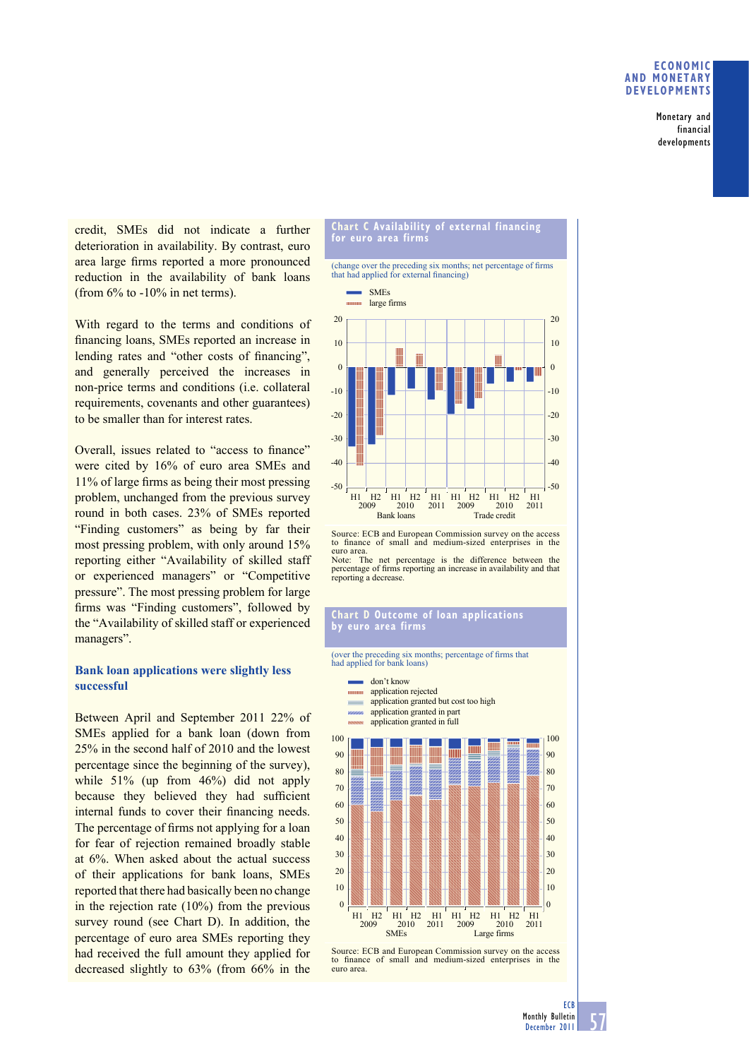### **ECONOMIC AND MONETARY DEVELOPMENTS**

Monetary and financial developments

credit, SMEs did not indicate a further deterioration in availability. By contrast, euro area large firms reported a more pronounced reduction in the availability of bank loans (from  $6\%$  to  $-10\%$  in net terms).

With regard to the terms and conditions of financing loans, SMEs reported an increase in lending rates and "other costs of financing", and generally perceived the increases in non-price terms and conditions (i.e. collateral requirements, covenants and other guarantees) to be smaller than for interest rates.

Overall, issues related to "access to finance" were cited by 16% of euro area SMEs and  $11\%$  of large firms as being their most pressing problem, unchanged from the previous survey round in both cases. 23% of SMEs reported "Finding customers" as being by far their most pressing problem, with only around 15% reporting either "Availability of skilled staff or experienced managers" or "Competitive pressure". The most pressing problem for large firms was "Finding customers", followed by the "Availability of skilled staff or experienced managers".

# **Bank loan applications were slightly less successful**

Between April and September 2011 22% of SMEs applied for a bank loan (down from 25% in the second half of 2010 and the lowest percentage since the beginning of the survey), while 51% (up from 46%) did not apply because they believed they had sufficient internal funds to cover their financing needs. The percentage of firms not applying for a loan for fear of rejection remained broadly stable at 6%. When asked about the actual success of their applications for bank loans, SMEs reported that there had basically been no change in the rejection rate (10%) from the previous survey round (see Chart D). In addition, the percentage of euro area SMEs reporting they had received the full amount they applied for decreased slightly to 63% (from 66% in the

#### **Chart C Availability of external financing for euro area firms**

(change over the preceding six months; net percentage of firms that had applied for external financing)



Source: ECB and European Commission survey on the access to finance of small and medium-sized enterprises in the euro area. Note: The net percentage is the difference between the percentage of firms reporting an increase in availability and that reporting a decrease.

#### **Chart D Outcome of loan applications by euro area firms**

(over the preceding six months; percentage of firms that had applied for bank loans)

don't know application rejected **CONTRACT** application granted but cost too high application granted in part application granted in full 100 100 mm 90 90  $80$  $80$ 70 70 60 60 50 50 40  $40$ 30 30 20  $20$ 10 10  $\theta$  $\overline{0}$  $\frac{1}{1000}$  H<sub>1</sub> H<sub>1</sub> H<sub>2</sub> H<sub>1</sub> H<sub>1</sub> H<sub>2</sub> H<sub>1</sub> H<sub>2</sub> H<sub>1</sub> H<sub>2</sub> H<sub>1</sub> H<sub>2</sub> H<sub>1</sub> H<sub>2</sub> H<sub>1</sub> H<sub>2</sub> H<sub>1</sub> H<sub>2</sub> H<sub>1</sub>  $\frac{2010}{\text{SMFs}}$  2011 Large firms

Source: ECB and European Commission survey on the access to finance of small and medium-sized enterprises in the euro area.